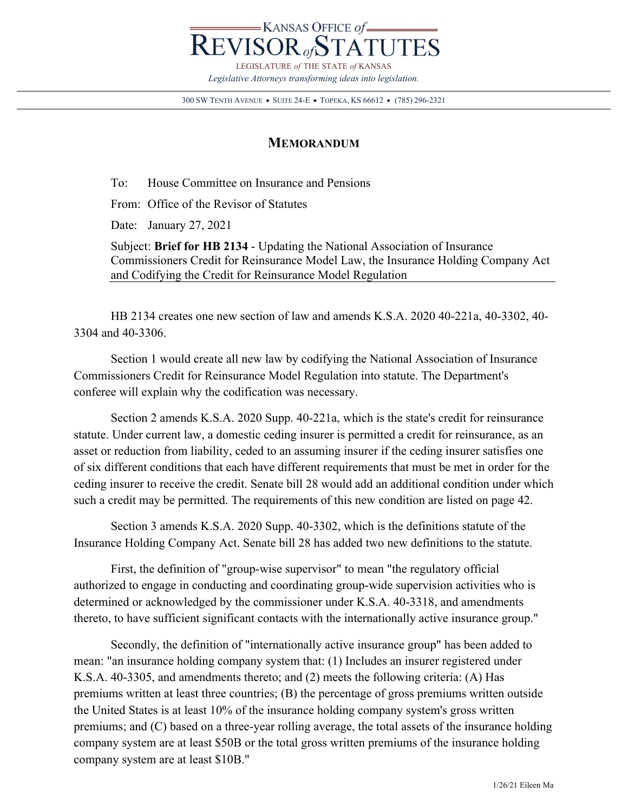

300 SW TENTH AVENUE • SUITE 24-E • TOPEKA, KS 66612 • (785) 296-2321

## **MEMORANDUM**

To: House Committee on Insurance and Pensions

From: Office of the Revisor of Statutes

Date: January 27, 2021

Subject: **Brief for HB 2134** - Updating the National Association of Insurance Commissioners Credit for Reinsurance Model Law, the Insurance Holding Company Act and Codifying the Credit for Reinsurance Model Regulation

 HB 2134 creates one new section of law and amends K.S.A. 2020 40-221a, 40-3302, 40- 3304 and 40-3306.

 Section 1 would create all new law by codifying the National Association of Insurance Commissioners Credit for Reinsurance Model Regulation into statute. The Department's conferee will explain why the codification was necessary.

 Section 2 amends K.S.A. 2020 Supp. 40-221a, which is the state's credit for reinsurance statute. Under current law, a domestic ceding insurer is permitted a credit for reinsurance, as an asset or reduction from liability, ceded to an assuming insurer if the ceding insurer satisfies one of six different conditions that each have different requirements that must be met in order for the ceding insurer to receive the credit. Senate bill 28 would add an additional condition under which such a credit may be permitted. The requirements of this new condition are listed on page 42.

 Section 3 amends K.S.A. 2020 Supp. 40-3302, which is the definitions statute of the Insurance Holding Company Act. Senate bill 28 has added two new definitions to the statute.

First, the definition of "group-wise supervisor" to mean "the regulatory official authorized to engage in conducting and coordinating group-wide supervision activities who is determined or acknowledged by the commissioner under K.S.A. 40-3318, and amendments thereto, to have sufficient significant contacts with the internationally active insurance group."

Secondly, the definition of "internationally active insurance group" has been added to mean: "an insurance holding company system that: (1) Includes an insurer registered under K.S.A. 40-3305, and amendments thereto; and (2) meets the following criteria: (A) Has premiums written at least three countries; (B) the percentage of gross premiums written outside the United States is at least 10% of the insurance holding company system's gross written premiums; and (C) based on a three-year rolling average, the total assets of the insurance holding company system are at least \$50B or the total gross written premiums of the insurance holding company system are at least \$10B."